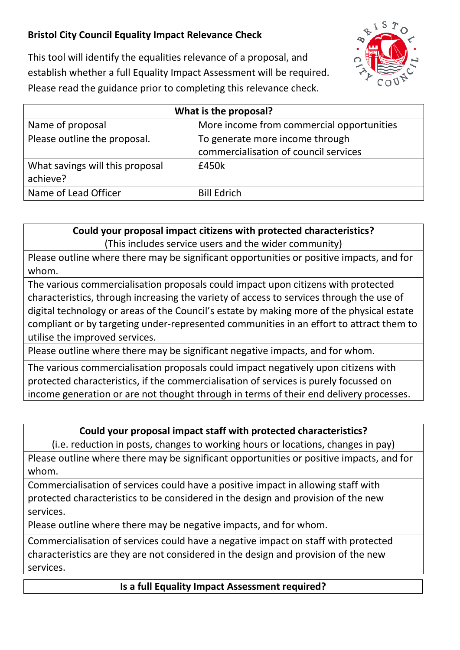## **Bristol City Council Equality Impact Relevance Check**



This tool will identify the equalities relevance of a proposal, and establish whether a full Equality Impact Assessment will be required. Please read the guidance prior to completing this relevance check.

| What is the proposal?           |                                           |
|---------------------------------|-------------------------------------------|
| Name of proposal                | More income from commercial opportunities |
| Please outline the proposal.    | To generate more income through           |
|                                 | commercialisation of council services     |
| What savings will this proposal | £450k                                     |
| achieve?                        |                                           |
| Name of Lead Officer            | <b>Bill Edrich</b>                        |

**Could your proposal impact citizens with protected characteristics?** (This includes service users and the wider community)

Please outline where there may be significant opportunities or positive impacts, and for whom.

The various commercialisation proposals could impact upon citizens with protected characteristics, through increasing the variety of access to services through the use of digital technology or areas of the Council's estate by making more of the physical estate compliant or by targeting under-represented communities in an effort to attract them to utilise the improved services.

Please outline where there may be significant negative impacts, and for whom.

The various commercialisation proposals could impact negatively upon citizens with protected characteristics, if the commercialisation of services is purely focussed on income generation or are not thought through in terms of their end delivery processes.

## **Could your proposal impact staff with protected characteristics?**

(i.e. reduction in posts, changes to working hours or locations, changes in pay)

Please outline where there may be significant opportunities or positive impacts, and for whom.

Commercialisation of services could have a positive impact in allowing staff with protected characteristics to be considered in the design and provision of the new services.

Please outline where there may be negative impacts, and for whom.

Commercialisation of services could have a negative impact on staff with protected characteristics are they are not considered in the design and provision of the new services.

**Is a full Equality Impact Assessment required?**